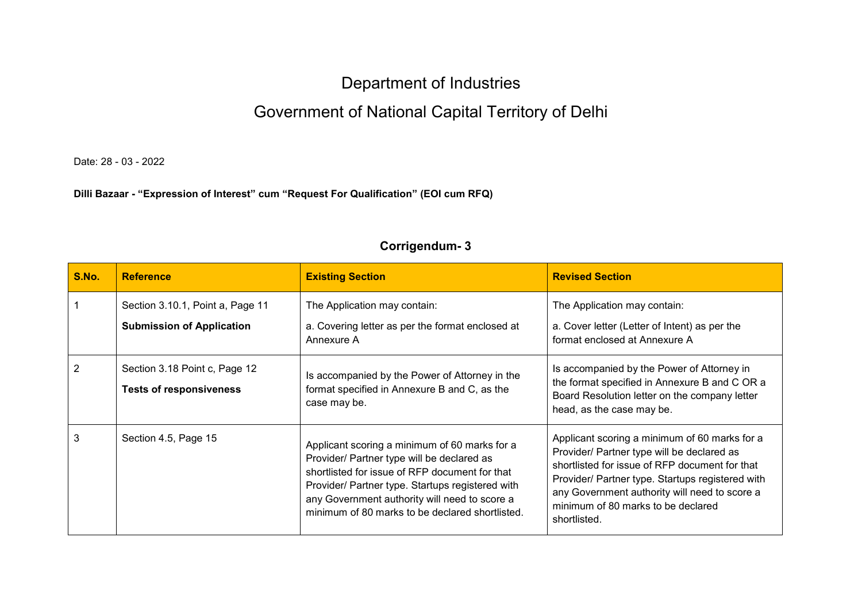## Department of Industries

## Government of National Capital Territory of Delhi

Date: 28 - 03 - 2022

## **Dilli Bazaar - "Expression of Interest" cum "Request For Qualification" (EOI cum RFQ)**

| S.No. | <b>Reference</b>                                                     | <b>Existing Section</b>                                                                                                                                                                                                                                                                               | <b>Revised Section</b>                                                                                                                                                                                                                                                                                   |
|-------|----------------------------------------------------------------------|-------------------------------------------------------------------------------------------------------------------------------------------------------------------------------------------------------------------------------------------------------------------------------------------------------|----------------------------------------------------------------------------------------------------------------------------------------------------------------------------------------------------------------------------------------------------------------------------------------------------------|
|       | Section 3.10.1, Point a, Page 11<br><b>Submission of Application</b> | The Application may contain:<br>a. Covering letter as per the format enclosed at<br>Annexure A                                                                                                                                                                                                        | The Application may contain:<br>a. Cover letter (Letter of Intent) as per the<br>format enclosed at Annexure A                                                                                                                                                                                           |
|       | Section 3.18 Point c, Page 12<br><b>Tests of responsiveness</b>      | Is accompanied by the Power of Attorney in the<br>format specified in Annexure B and C, as the<br>case may be.                                                                                                                                                                                        | Is accompanied by the Power of Attorney in<br>the format specified in Annexure B and C OR a<br>Board Resolution letter on the company letter<br>head, as the case may be.                                                                                                                                |
| 3     | Section 4.5, Page 15                                                 | Applicant scoring a minimum of 60 marks for a<br>Provider/ Partner type will be declared as<br>shortlisted for issue of RFP document for that<br>Provider/ Partner type. Startups registered with<br>any Government authority will need to score a<br>minimum of 80 marks to be declared shortlisted. | Applicant scoring a minimum of 60 marks for a<br>Provider/ Partner type will be declared as<br>shortlisted for issue of RFP document for that<br>Provider/ Partner type. Startups registered with<br>any Government authority will need to score a<br>minimum of 80 marks to be declared<br>shortlisted. |

## **Corrigendum- 3**